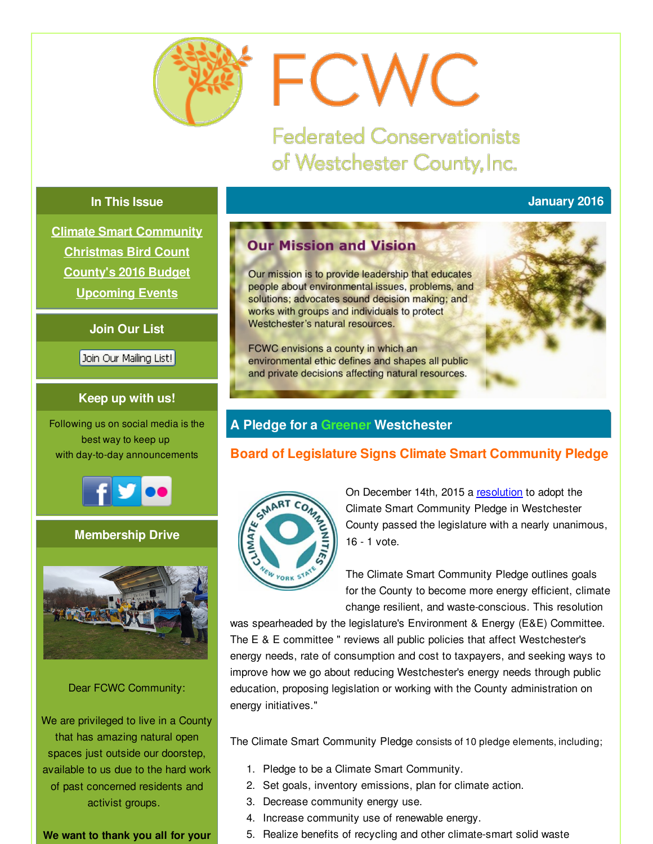<span id="page-0-0"></span>

# FCWC

**Federated Conservationists** of Westchester County, Inc.

# **In This Issue**

# **January 2016**

**Climate Smart [Community](#page-0-0) [Christmas](#page-0-0) Bird Count [County's](#page-0-0) 2016 Budget [Upcoming](#page-0-0) Events**

# **Join Our List**

Join Our Mailing List!

# **Keep up with us!**

Following us on social media is the best way to keep up with day-to-day announcements



# **Membership Drive**



#### Dear FCWC Community:

We are privileged to live in a County that has amazing natural open spaces just outside our doorstep, available to us due to the hard work of past concerned residents and activist groups.

## **We want to thank you all for your**

# **Our Mission and Vision**

Our mission is to provide leadership that educates people about environmental issues, problems, and solutions; advocates sound decision making; and works with groups and individuals to protect Westchester's natural resources.

FCWC envisions a county in which an environmental ethic defines and shapes all public and private decisions affecting natural resources.

# **A Pledge for a Greener Westchester**

# **Board of Legislature Signs Climate Smart Community Pledge**



On December 14th, 2015 a [resolution](http://r20.rs6.net/tn.jsp?f=001xTfIs1d_8rqinkVslYsxYTq23kTBj8G8BXUyUMYgwrO9nI5eV8VLUsRdymcn2CU51efTW1B9742y8p6XaOJf0g_q1rnwwtQrDJi-qGehmiKpg1K17rTZg9D8b8dgQj6BYPdvlLxNJDgyAYMgBbeCnTW2IHBoGdbZUFjRNBFZiNeWOg8UMIUMB9PrC-3zU7vTRtSQVVVCdXSzCRCglkkaOyNo4pArYm8vySAvkf_tQO8hSLvXzR2kP3gpeeBQ9su_ZHQvN8-Cl98lB-UfguSMJH-4dGe7hnEIVZ2mjUEmjAzUyMmdiir1hYoh_ZyGtl_Ca3APE_QZpU4=&c=&ch=) to adopt the Climate Smart Community Pledge in Westchester County passed the legislature with a nearly unanimous, 16 - 1 vote.

The Climate Smart Community Pledge outlines goals for the County to become more energy efficient, climate change resilient, and waste-conscious. This resolution

was spearheaded by the legislature's Environment & Energy (E&E) Committee. The E & E committee " reviews all public policies that affect Westchester's energy needs, rate of consumption and cost to taxpayers, and seeking ways to improve how we go about reducing Westchester's energy needs through public education, proposing legislation or working with the County administration on energy initiatives."

The Climate Smart Community Pledge consists of 10 pledge elements, including;

- 1. Pledge to be a Climate Smart Community.
- 2. Set goals, inventory emissions, plan for climate action.
- 3. Decrease community energy use.
- 4. Increase community use of renewable energy.
- 5. Realize benefits of recycling and other climate-smart solid waste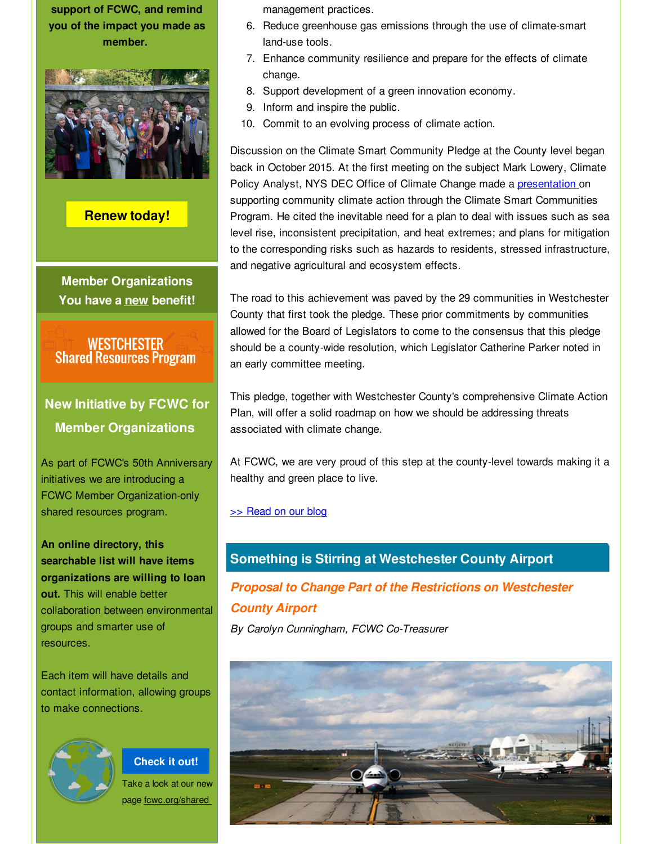**support of FCWC, and remind you of the impact you made as member.**



**[Renew](http://r20.rs6.net/tn.jsp?f=001xTfIs1d_8rqinkVslYsxYTq23kTBj8G8BXUyUMYgwrO9nI5eV8VLUjUWlr17bPINEFoDGvXF-gT2DEMqMTK9KLL-lB6CsEXNHFIU0l3w0mTMLKirepqq8bECAbLwtii4c0pbErJif5fBOoO4vX5eLCbSYXjEzEME9buvxtxJz2qOdTbL1lFLKjlG8M5vjsNQQEfS_gtM50s=&c=&ch=) today!**

**Member Organizations You have a new benefit!**

**WESTCHESTER Shared Resources Program** 

# **New Initiative by FCWC for Member Organizations**

As part of FCWC's 50th Anniversary initiatives we are introducing a FCWC Member Organization-only shared resources program.

**An online directory, this searchable list will have items organizations are willing to loan out.** This will enable better collaboration between environmental groups and smarter use of resources.

Each item will have details and contact information, allowing groups to make connections.



**[Check](http://r20.rs6.net/tn.jsp?f=001xTfIs1d_8rqinkVslYsxYTq23kTBj8G8BXUyUMYgwrO9nI5eV8VLUtp5Ya1E7gzQVSwpZgAASKhdg9s4diKFrAkLYAM0qFj0oKzqZzlUhNUC1cya9EtkOnFp5ty96wt72DSlra94YC0PvdpEzwneytPKaSwVgpsXOpPqeTfK2n1tR4FVUoYtJaYO-ElDTAoC&c=&ch=) it out!** Take a look at our new page fcwc.org/shared

management practices.

- 6. Reduce greenhouse gas emissions through the use of climate-smart land-use tools.
- 7. Enhance community resilience and prepare for the effects of climate change.
- 8. Support development of a green innovation economy.
- 9. Inform and inspire the public.
- 10. Commit to an evolving process of climate action.

Discussion on the Climate Smart Community Pledge at the County level began back in October 2015. At the first meeting on the subject Mark Lowery, Climate Policy Analyst, NYS DEC Office of Climate Change made a [presentation](http://r20.rs6.net/tn.jsp?f=001xTfIs1d_8rqinkVslYsxYTq23kTBj8G8BXUyUMYgwrO9nI5eV8VLUsRdymcn2CU50zwdYb_KS-kvOomKZ7ZTwa0qpUDOLT6D59Eq78HcRYokAD3Xui5PZn0pMI7jjcfMq1kb1K8OLJWUO0eOeH14WmxNVUBe9zviTh8wgPT5VKPd0ZrtUYZ9Xes4DEjDg9LGvnYxCfFUrNi8Agp-L0maWxiqIgz13d2vgOuiGtD1UY9Ab1TM6Oo9jR4VgzHO28IT1uoShlijaDSMP-a7en0vAFfxA_zEWW4x-99Zym-DpzEEtOFrcpHuEc_qEAxTbbE1aGsFludyF_U=&c=&ch=) on supporting community climate action through the Climate Smart Communities Program. He cited the inevitable need for a plan to deal with issues such as sea level rise, inconsistent precipitation, and heat extremes; and plans for mitigation to the corresponding risks such as hazards to residents, stressed infrastructure, and negative agricultural and ecosystem effects.

The road to this achievement was paved by the 29 communities in Westchester County that first took the pledge. These prior commitments by communities allowed for the Board of Legislators to come to the consensus that this pledge should be a county-wide resolution, which Legislator Catherine Parker noted in an early committee meeting.

This pledge, together with Westchester County's comprehensive Climate Action Plan, will offer a solid roadmap on how we should be addressing threats associated with climate change.

At FCWC, we are very proud of this step at the county-level towards making it a healthy and green place to live.

#### >> [Read](http://r20.rs6.net/tn.jsp?f=001xTfIs1d_8rqinkVslYsxYTq23kTBj8G8BXUyUMYgwrO9nI5eV8VLUsRdymcn2CU55zuI1Wel1tctptTFagxMAO-zlO-lCLOwMhnN-vgEPoQAZC5avGbdctj4pqlQEJX5bWuB_1luzVdXiWpOhR9YkAOZGQyBK3uAZ6QBFt8EdW6j6zJfbiE1wM2kM7Zs3lmKIgQY6UogDwJuf6x0ELZcktztTMsB45e4K620OpuH6J65xVMVui2Ix1sZvzG69kHoM1gBl1Cjt40=&c=&ch=) on our blog

# **Something is Stirring at Westchester County Airport**

*Proposal to Change Part of the Restrictions on Westchester County Airport*

*By Carolyn Cunningham, FCWC Co-Treasurer*

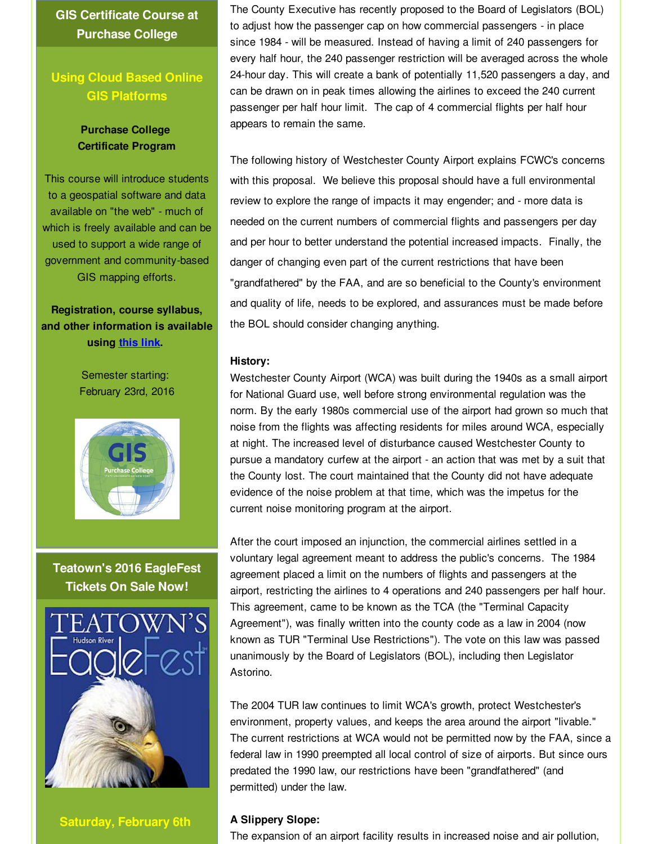**GIS Certificate Course at Purchase College**

# **Using Cloud Based Online GIS Platforms**

#### **Purchase College Certificate Program**

This course will introduce students to a geospatial software and data available on "the web" - much of which is freely available and can be used to support a wide range of government and community-based GIS mapping efforts.

# **Registration, course syllabus, and other information is available using [this](http://r20.rs6.net/tn.jsp?f=001xTfIs1d_8rqinkVslYsxYTq23kTBj8G8BXUyUMYgwrO9nI5eV8VLUsRdymcn2CU5WnsaVldgWEfap-9t1NKCSllmRyAVCspoWpDzjRripD2QzULFI17TgQF2aRJyMqLyANVeVYwem1nKopyHuWjp-wNIFdeaE5FlsM-dvHgXW_f3HaysPJwwhNNiSIshb4qqUYQuGql76GeWHoJsOih3RNRhV81tTnsl3cHqCLI5mgU3fRQQfGMC-x6vg7ZbatZeJx2LeM-Va6fSKFIy5VAUbw==&c=&ch=) link.**

Semester starting: February 23rd, 2016



**Teatown's 2016 EagleFest Tickets On Sale Now!**



**Saturday, February 6th**

The County Executive has recently proposed to the Board of Legislators (BOL) to adjust how the passenger cap on how commercial passengers - in place since 1984 - will be measured. Instead of having a limit of 240 passengers for every half hour, the 240 passenger restriction will be averaged across the whole 24-hour day. This will create a bank of potentially 11,520 passengers a day, and can be drawn on in peak times allowing the airlines to exceed the 240 current passenger per half hour limit. The cap of 4 commercial flights per half hour appears to remain the same.

The following history of Westchester County Airport explains FCWC's concerns with this proposal. We believe this proposal should have a full environmental review to explore the range of impacts it may engender; and - more data is needed on the current numbers of commercial flights and passengers per day and per hour to better understand the potential increased impacts. Finally, the danger of changing even part of the current restrictions that have been "grandfathered" by the FAA, and are so beneficial to the County's environment and quality of life, needs to be explored, and assurances must be made before the BOL should consider changing anything.

#### **History:**

Westchester County Airport (WCA) was built during the 1940s as a small airport for National Guard use, well before strong environmental regulation was the norm. By the early 1980s commercial use of the airport had grown so much that noise from the flights was affecting residents for miles around WCA, especially at night. The increased level of disturbance caused Westchester County to pursue a mandatory curfew at the airport - an action that was met by a suit that the County lost. The court maintained that the County did not have adequate evidence of the noise problem at that time, which was the impetus for the current noise monitoring program at the airport.

After the court imposed an injunction, the commercial airlines settled in a voluntary legal agreement meant to address the public's concerns. The 1984 agreement placed a limit on the numbers of flights and passengers at the airport, restricting the airlines to 4 operations and 240 passengers per half hour. This agreement, came to be known as the TCA (the "Terminal Capacity Agreement"), was finally written into the county code as a law in 2004 (now known as TUR "Terminal Use Restrictions"). The vote on this law was passed unanimously by the Board of Legislators (BOL), including then Legislator Astorino.

The 2004 TUR law continues to limit WCA's growth, protect Westchester's environment, property values, and keeps the area around the airport "livable." The current restrictions at WCA would not be permitted now by the FAA, since a federal law in 1990 preempted all local control of size of airports. But since ours predated the 1990 law, our restrictions have been "grandfathered" (and permitted) under the law.

#### **A Slippery Slope:**

The expansion of an airport facility results in increased noise and air pollution,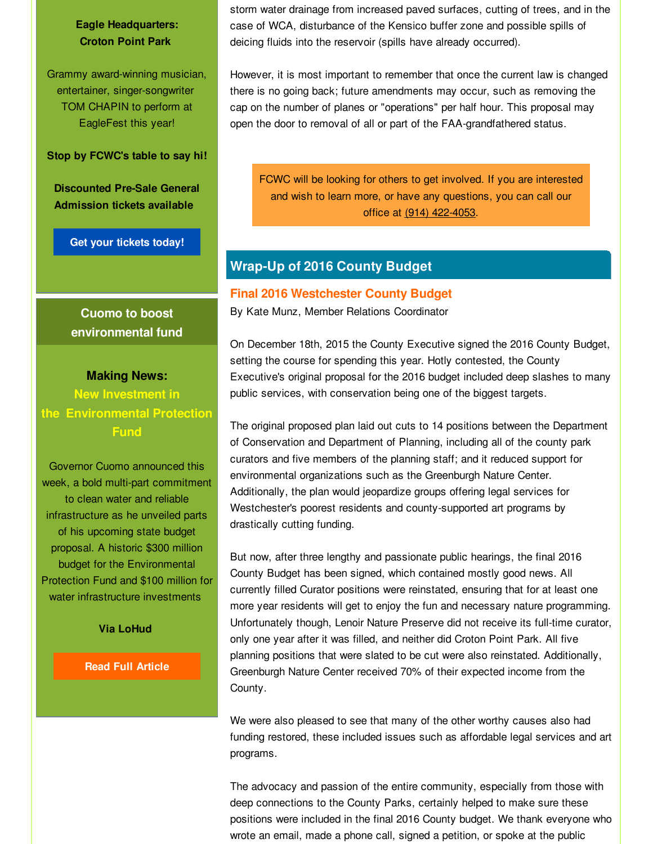**Eagle Headquarters: Croton Point Park**

Grammy award-winning musician, entertainer, singer-songwriter TOM CHAPIN to perform at EagleFest this year!

**Stop by FCWC's table to say hi!**

**Discounted Pre-Sale General Admission tickets available**

**Get your [tickets](http://r20.rs6.net/tn.jsp?f=001xTfIs1d_8rqinkVslYsxYTq23kTBj8G8BXUyUMYgwrO9nI5eV8VLUsRdymcn2CU5-cO-al-Jw1K0ShFWuaY8xlAdzHEuFgZRsbOjjaYmk7q0kuqjyklssn-m9dNqjGRlid3gJ0aj_rIjx1RN5cx3C6e3wv2Sajaw-eIoWNJFzuARpmV7WtWCgDqnIWsRRjPmjb3j-Zb7ybPIQNQxaCkgM0aVTX6QMS4BzqHgSe2J1hHfRPXzDSse9wCOsg4nj36loTOEXeaQuWOPkKgUW3n7Zkr3efltSCabJfVN_m3CHX1ppr3oQWNTlv5Zzvk5pxYwxwj_52Lm-XTnN0c9Q08hYxoDLNb952Fz_CR1umiXnUNNhsASHnMJ-AR8noZ7lJo9qfNEs29u-tn-kFLSPCSmsqZ8M_VvdKDu73HNE4hrQtU=&c=&ch=) today!**

**Cuomo to boost environmental fund**

# **Making News: New Investment in**

**the Environmental Protection Fund**

Governor Cuomo announced this week, a bold multi-part commitment to clean water and reliable infrastructure as he unveiled parts of his upcoming state budget proposal. A historic \$300 million budget for the Environmental Protection Fund and \$100 million for water infrastructure investments

**Via LoHud**

**Read Full [Article](http://r20.rs6.net/tn.jsp?f=001xTfIs1d_8rqinkVslYsxYTq23kTBj8G8BXUyUMYgwrO9nI5eV8VLUsRdymcn2CU5Zs__P0vrBN0sf3kuDCwf1_21LciEirRgFww_3kKLNDTJJp1SmFLhLBG-QZyDC-ji9p99TzrqwAmns_ei0GeC8np8Q1FA4wMFwcd2-8CNQcaWufQ3bRuWqnijYeDVbsHAy0hPzSw35C3Ynil2782UeR5uVgbdPW_iSLZWcw9jGHCHF02yzDv5FW2DgUY4yNt5QAuwTd7f9D_s1J6mvULAUdu1bJ7l4hwTuUjO8EO4xEO2lgx8FQL3eQ==&c=&ch=)**

storm water drainage from increased paved surfaces, cutting of trees, and in the case of WCA, disturbance of the Kensico buffer zone and possible spills of deicing fluids into the reservoir (spills have already occurred).

However, it is most important to remember that once the current law is changed there is no going back; future amendments may occur, such as removing the cap on the number of planes or "operations" per half hour. This proposal may open the door to removal of all or part of the FAA-grandfathered status.

FCWC will be looking for others to get involved. If you are interested and wish to learn more, or have any questions, you can call our office at (914) 422-4053.

# **Wrap-Up of 2016 County Budget**

#### **Final 2016 Westchester County Budget**

By Kate Munz, Member Relations Coordinator

On December 18th, 2015 the County Executive signed the 2016 County Budget, setting the course for spending this year. Hotly contested, the County Executive's original proposal for the 2016 budget included deep slashes to many public services, with conservation being one of the biggest targets.

The original proposed plan laid out cuts to 14 positions between the Department of Conservation and Department of Planning, including all of the county park curators and five members of the planning staff; and it reduced support for environmental organizations such as the Greenburgh Nature Center. Additionally, the plan would jeopardize groups offering legal services for Westchester's poorest residents and county-supported art programs by drastically cutting funding.

But now, after three lengthy and passionate public hearings, the final 2016 County Budget has been signed, which contained mostly good news. All currently filled Curator positions were reinstated, ensuring that for at least one more year residents will get to enjoy the fun and necessary nature programming. Unfortunately though, Lenoir Nature Preserve did not receive its full-time curator, only one year after it was filled, and neither did Croton Point Park. All five planning positions that were slated to be cut were also reinstated. Additionally, Greenburgh Nature Center received 70% of their expected income from the County.

We were also pleased to see that many of the other worthy causes also had funding restored, these included issues such as affordable legal services and art programs.

The advocacy and passion of the entire community, especially from those with deep connections to the County Parks, certainly helped to make sure these positions were included in the final 2016 County budget. We thank everyone who wrote an email, made a phone call, signed a petition, or spoke at the public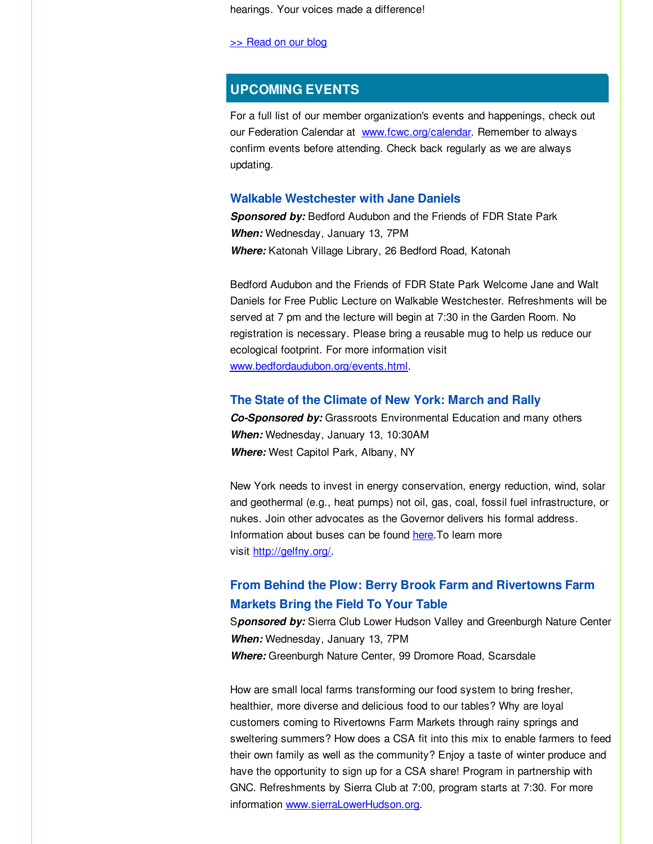hearings. Your voices made a difference!

>> [Read](http://r20.rs6.net/tn.jsp?f=001xTfIs1d_8rqinkVslYsxYTq23kTBj8G8BXUyUMYgwrO9nI5eV8VLUsRdymcn2CU5QXfzPHzUTievvy97kKV7YGcrueGaFiCB6EhkUg-kbuGryh_keA9R-MitbNQJLDtyMX5RJpayjPWscRin2JMV7puVliVyvKFU0gMbe_If80Tx_cLbnLVYd-0-L-kyh4nOUCj_LVfZMh3SvVspyAeesrLNJ4KY5RrfpRrSamSS8ozyOWiNXWLFtQ==&c=&ch=) on our blog

#### **UPCOMING EVENTS**

For a full list of our member organization's events and happenings, check out our Federation Calendar at [www.fcwc.org/calendar](http://r20.rs6.net/tn.jsp?f=001xTfIs1d_8rqinkVslYsxYTq23kTBj8G8BXUyUMYgwrO9nI5eV8VLUoWlTnFBl9KXb1okw0z9fUb4OILwoy1ppBrRQNrJeD6_y6EQs7jnLdiKR6ZpE4T8QdOwgz33HRF44dNqC5t1EgfQMD4fxW58keTo-y-2xdqbI6UZYuq1Joox44zxlkwFmATfG8hM_jFX&c=&ch=). Remember to always confirm events before attending. Check back regularly as we are always updating.

#### **Walkable Westchester with Jane Daniels**

*Sponsored by:* Bedford Audubon and the Friends of FDR State Park *When:* Wednesday, January 13, 7PM *Where:* Katonah Village Library, 26 Bedford Road, Katonah

Bedford Audubon and the Friends of FDR State Park Welcome Jane and Walt Daniels for Free Public Lecture on Walkable Westchester. Refreshments will be served at 7 pm and the lecture will begin at 7:30 in the Garden Room. No registration is necessary. Please bring a reusable mug to help us reduce our ecological footprint. For more information visit [www.bedfordaudubon.org/events.html](http://r20.rs6.net/tn.jsp?f=001xTfIs1d_8rqinkVslYsxYTq23kTBj8G8BXUyUMYgwrO9nI5eV8VLUkN5lxVBHmuU-zgTA3Qs3ZqGUrVqRpPelLP3H6Izutv5oYZCgsRkyH69zhVA33YH8XrghV_7cERyydRnVmUagHL_ivtMuCXu7pUuu8UnmY_CCYOZCv55e-GNzHonqmGgJ6Zky8HJVdXH&c=&ch=).

#### **The State of the Climate of New York: March and Rally**

*Co-Sponsored by:* Grassroots Environmental Education and many others *When:* Wednesday, January 13, 10:30AM *Where:* West Capitol Park, Albany, NY

New York needs to invest in energy conservation, energy reduction, wind, solar and geothermal (e.g., heat pumps) not oil, gas, coal, fossil fuel infrastructure, or nukes. Join other advocates as the Governor delivers his formal address. Information about buses can be found [here](http://r20.rs6.net/tn.jsp?f=001xTfIs1d_8rqinkVslYsxYTq23kTBj8G8BXUyUMYgwrO9nI5eV8VLUoTIrs2LArhCUDhDQ_jKInwhNB6anuVP1Z2vycBL8bf6pbdFKKPLV0aEYUTaTBNviLqhX9Mfy_vK4aKi04CDQbfuHQrja64z75p0MwMCibuYIRIVnIOPJkkYiGpU4jBTXiLGIdy_4mimROgPpit6UeUzT1eRzhQN_uYdFbEDs3J_7L8X3tjgDq1Vsl_k6ZPgjrsJ6bD49zORQPpugeLG9XV5_gJ3lcZpzw==&c=&ch=).To learn more visit [http://gelfny.org/](http://r20.rs6.net/tn.jsp?f=001xTfIs1d_8rqinkVslYsxYTq23kTBj8G8BXUyUMYgwrO9nI5eV8VLUoTIrs2LArhC2CpiLNKu7cpqkuMR2Dq21NuQqKiSVq8GfXhHbk2BuEICAGqgp81tDIZM6vW3pb_SE_dMCS3f2FVRx_Pge2wBY-mqrpj9PFYkwpspZBCetI4=&c=&ch=).

# **From Behind the Plow: Berry Brook Farm and Rivertowns Farm Markets Bring the Field To Your Table**

S*ponsored by:* Sierra Club Lower Hudson Valley and Greenburgh Nature Center *When:* Wednesday, January 13, 7PM *Where:* Greenburgh Nature Center, 99 Dromore Road, Scarsdale

How are small local farms transforming our food system to bring fresher, healthier, more diverse and delicious food to our tables? Why are loyal customers coming to Rivertowns Farm Markets through rainy springs and sweltering summers? How does a CSA fit into this mix to enable farmers to feed their own family as well as the community? Enjoy a taste of winter produce and have the opportunity to sign up for a CSA share! Program in partnership with GNC. Refreshments by Sierra Club at 7:00, program starts at 7:30. For more information [www.sierraLowerHudson.org](http://r20.rs6.net/tn.jsp?f=001xTfIs1d_8rqinkVslYsxYTq23kTBj8G8BXUyUMYgwrO9nI5eV8VLUsRdymcn2CU5x2f6MXFYBF_iWLuTg5PC1giJfLBDpncs3YH3TvcuWRbo3wsLAueQu4P0ewPy15ubfxdqm_TYCf6jPdgzgmqQN6WAK-ihUobN26Q62eFm8W66hKOkWm0d3A==&c=&ch=).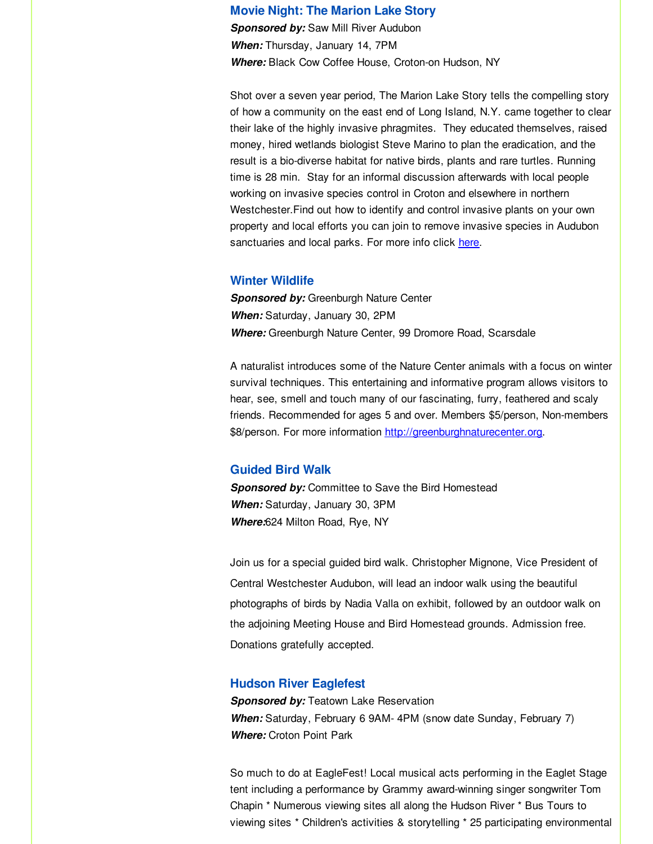#### **Movie Night: The Marion Lake Story**

*Sponsored by:* Saw Mill River Audubon *When:* Thursday, January 14, 7PM *Where:* Black Cow Coffee House, Croton-on Hudson, NY

Shot over a seven year period, The Marion Lake Story tells the compelling story of how a community on the east end of Long Island, N.Y. came together to clear their lake of the highly invasive phragmites. They educated themselves, raised money, hired wetlands biologist Steve Marino to plan the eradication, and the result is a bio-diverse habitat for native birds, plants and rare turtles. Running time is 28 min. Stay for an informal discussion afterwards with local people working on invasive species control in Croton and elsewhere in northern Westchester.Find out how to identify and control invasive plants on your own property and local efforts you can join to remove invasive species in Audubon sanctuaries and local parks. For more info click [here](http://r20.rs6.net/tn.jsp?f=001xTfIs1d_8rqinkVslYsxYTq23kTBj8G8BXUyUMYgwrO9nI5eV8VLUoLEdmu2eKXljdmxNpZtfKfcmFIe-SXVNGmu-xSxR8SE4pmsLFANsJ6XKYTaX17wqOM0AbZ5C756ZJtYBtwPTdvySWbC9PTx2DXr6ZNEh48VvdT0Rw0CyeXRCB3A3aNGvNyu1UMJCunD&c=&ch=).

#### **Winter Wildlife**

**Sponsored by: Greenburgh Nature Center** *When:* Saturday, January 30, 2PM *Where:* Greenburgh Nature Center, 99 Dromore Road, Scarsdale

A naturalist introduces some of the Nature Center animals with a focus on winter survival techniques. This entertaining and informative program allows visitors to hear, see, smell and touch many of our fascinating, furry, feathered and scaly friends. Recommended for ages 5 and over. Members \$5/person, Non-members \$8/person. For more information [http://greenburghnaturecenter.org](http://r20.rs6.net/tn.jsp?f=001xTfIs1d_8rqinkVslYsxYTq23kTBj8G8BXUyUMYgwrO9nI5eV8VLUkN5lxVBHmuUSEvTC-YFRNY7hA5T4hunUmJ0XreOvYK9qpmsp1sbbuQDZn0DrlznWSa3mGIFSm1C5vWiLigBVAXf4uRr69ZLPLCWsoGu73wE5M9m2GBfLdeJWO7tSpLE9RpYFHFfAc7IqUMI5WPgyrIwSc6Ecsm4RiNtl-ZhiFrT3EpB6kUQdvw=&c=&ch=).

#### **Guided Bird Walk**

*Sponsored by:* Committee to Save the Bird Homestead *When:* Saturday, January 30, 3PM *Where:*624 Milton Road, Rye, NY

Join us for a special guided bird walk. Christopher Mignone, Vice President of Central Westchester Audubon, will lead an indoor walk using the beautiful photographs of birds by Nadia Valla on exhibit, followed by an outdoor walk on the adjoining Meeting House and Bird Homestead grounds. Admission free. Donations gratefully accepted.

#### **Hudson River Eaglefest**

**Sponsored by: Teatown Lake Reservation** *When:* Saturday, February 6 9AM- 4PM (snow date Sunday, February 7) *Where:* Croton Point Park

So much to do at EagleFest! Local musical acts performing in the Eaglet Stage tent including a performance by Grammy award-winning singer songwriter Tom Chapin \* Numerous viewing sites all along the Hudson River \* Bus Tours to viewing sites \* Children's activities & storytelling \* 25 participating environmental